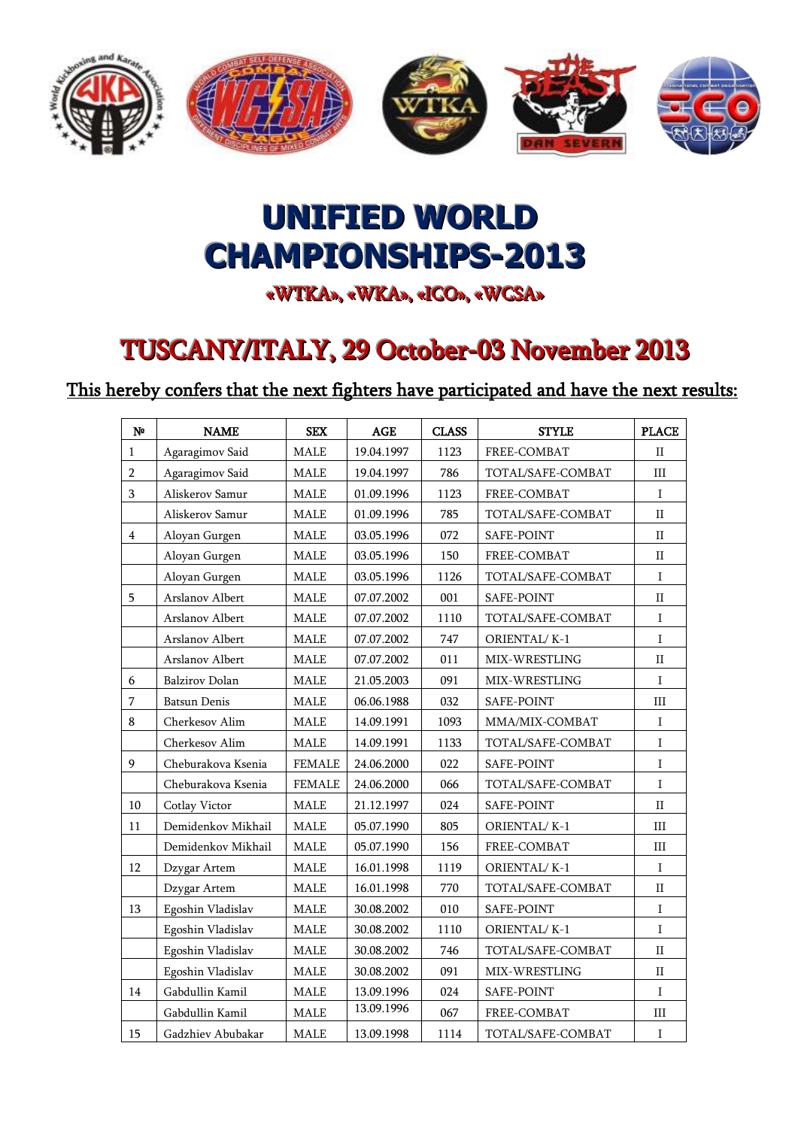

## **UNIFIED WORLD CHAMPIONSHIPS-2013**

«WTKA», «WKA», «ICO», «WCSA»

## TUSCANY/ITALY, 29 October-03 November 2013

## This hereby confers that the next fighters have participated and have the next results:

| ${\bf N^o}$    | <b>NAME</b>           | <b>SEX</b>    | $\mathbf{AGE}$ | <b>CLASS</b> | <b>STYLE</b>      | <b>PLACE</b> |
|----------------|-----------------------|---------------|----------------|--------------|-------------------|--------------|
| $\mathbf{1}$   | Agaragimov Said       | <b>MALE</b>   | 19.04.1997     | 1123         | FREE-COMBAT       | $\rm II$     |
| $\,2$          | Agaragimov Said       | <b>MALE</b>   | 19.04.1997     | 786          | TOTAL/SAFE-COMBAT | $\rm III$    |
| 3              | Aliskerov Samur       | <b>MALE</b>   | 01.09.1996     | 1123         | FREE-COMBAT       | $\rm I$      |
|                | Aliskerov Samur       | <b>MALE</b>   | 01.09.1996     | 785          | TOTAL/SAFE-COMBAT | $\rm II$     |
| $\overline{4}$ | Aloyan Gurgen         | <b>MALE</b>   | 03.05.1996     | 072          | SAFE-POINT        | $\rm II$     |
|                | Aloyan Gurgen         | <b>MALE</b>   | 03.05.1996     | 150          | FREE-COMBAT       | $\rm II$     |
|                | Aloyan Gurgen         | <b>MALE</b>   | 03.05.1996     | 1126         | TOTAL/SAFE-COMBAT | $\rm I$      |
| 5              | Arslanov Albert       | MALE          | 07.07.2002     | 001          | SAFE-POINT        | $\rm II$     |
|                | Arslanov Albert       | <b>MALE</b>   | 07.07.2002     | 1110         | TOTAL/SAFE-COMBAT | $\rm I$      |
|                | Arslanov Albert       | MALE          | 07.07.2002     | 747          | ORIENTAL/K-1      | $\rm I$      |
|                | Arslanov Albert       | <b>MALE</b>   | 07.07.2002     | 011          | MIX-WRESTLING     | $\rm II$     |
| 6              | <b>Balzirov Dolan</b> | MALE          | 21.05.2003     | 091          | MIX-WRESTLING     | $\rm I$      |
| 7              | <b>Batsun Denis</b>   | <b>MALE</b>   | 06.06.1988     | 032          | SAFE-POINT        | III          |
| 8              | Cherkesov Alim        | MALE          | 14.09.1991     | 1093         | MMA/MIX-COMBAT    | $\rm I$      |
|                | Cherkesov Alim        | <b>MALE</b>   | 14.09.1991     | 1133         | TOTAL/SAFE-COMBAT | $\rm I$      |
| 9              | Cheburakova Ksenia    | <b>FEMALE</b> | 24.06.2000     | 022          | SAFE-POINT        | $\rm I$      |
|                | Cheburakova Ksenia    | <b>FEMALE</b> | 24.06.2000     | 066          | TOTAL/SAFE-COMBAT | $\rm I$      |
| 10             | Cotlay Victor         | <b>MALE</b>   | 21.12.1997     | 024          | SAFE-POINT        | $\rm II$     |
| 11             | Demidenkov Mikhail    | <b>MALE</b>   | 05.07.1990     | 805          | ORIENTAL/K-1      | $\rm III$    |
|                | Demidenkov Mikhail    | <b>MALE</b>   | 05.07.1990     | 156          | FREE-COMBAT       | $\rm III$    |
| 12             | Dzygar Artem          | <b>MALE</b>   | 16.01.1998     | 1119         | ORIENTAL/K-1      | $\rm I$      |
|                | Dzygar Artem          | <b>MALE</b>   | 16.01.1998     | 770          | TOTAL/SAFE-COMBAT | $\rm II$     |
| 13             | Egoshin Vladislav     | <b>MALE</b>   | 30.08.2002     | 010          | SAFE-POINT        | $\rm I$      |
|                | Egoshin Vladislav     | MALE          | 30.08.2002     | 1110         | ORIENTAL/K-1      | $\rm I$      |
|                | Egoshin Vladislav     | <b>MALE</b>   | 30.08.2002     | 746          | TOTAL/SAFE-COMBAT | $\rm II$     |
|                | Egoshin Vladislav     | <b>MALE</b>   | 30.08.2002     | 091          | MIX-WRESTLING     | $\mathbf{I}$ |
| 14             | Gabdullin Kamil       | <b>MALE</b>   | 13.09.1996     | 024          | SAFE-POINT        | $\rm I$      |
|                | Gabdullin Kamil       | MALE          | 13.09.1996     | 067          | FREE-COMBAT       | $\rm III$    |
| 15             | Gadzhiev Abubakar     | <b>MALE</b>   | 13.09.1998     | 1114         | TOTAL/SAFE-COMBAT | $\rm I$      |